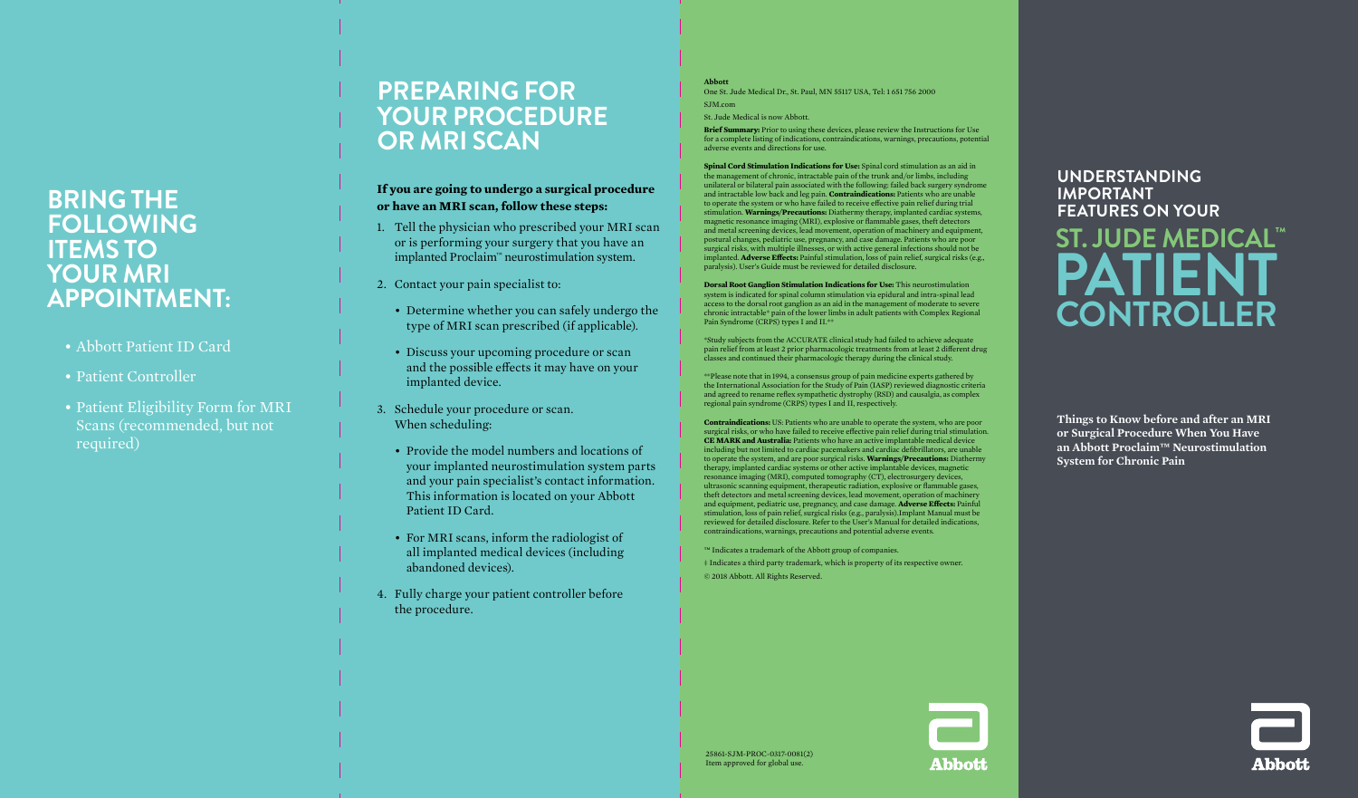## **BRING THE FOLLOWING ITEMS TO YOUR MRI APPOINTMENT:**

- Abbott Patient ID Card
- Patient Controller
- Patient Eligibility Form for MRI Scans (recommended, but not required)

## **PREPARING FOR YOUR PROCEDURE OR MRI SCAN**

### **If you are going to undergo a surgical procedure or have an MRI scan, follow these steps:**

- 1. Tell the physician who prescribed your MRI scan or is performing your surgery that you have an implanted Proclaim™ neurostimulation system.
- 2. Contact your pain specialist to:
	- Determine whether you can safely undergo the type of MRI scan prescribed (if applicable).
	- Discuss your upcoming procedure or scan and the possible effects it may have on your implanted device.
- 3. Schedule your procedure or scan. When scheduling:
	- Provide the model numbers and locations of your implanted neurostimulation system parts and your pain specialist's contact information. This information is located on your Abbott Patient ID Card.
	- For MRI scans, inform the radiologist of all implanted medical devices (including abandoned devices).
- 4. Fully charge your patient controller before the procedure.

**Abbott** One St. Jude Medical Dr., St. Paul, MN 55117 USA, Tel: 1 651 756 2000 SJM.com

St. Jude Medical is now Abbott.

**Brief Summary:** Prior to using these devices, please review the Instructions for Use for a complete listing of indications, contraindications, warnings, precautions, potential adverse events and directions for use.

**Spinal Cord Stimulation Indications for Use:** Spinal cord stimulation as an aid in the management of chronic, intractable pain of the trunk and/or limbs, including unilateral or bilateral pain associated with the following: failed back surgery syndrome and intractable low back and leg pain. **Contraindications:** Patients who are unable to operate the system or who have failed to receive effective pain relief during trial stimulation. **Warnings/Precautions:** Diathermy therapy, implanted cardiac systems, magnetic resonance imaging (MRI), explosive or flammable gases, theft detectors and metal screening devices, lead movement, operation of machinery and equipment, postural changes, pediatric use, pregnancy, and case damage. Patients who are poor surgical risks, with multiple illnesses, or with active general infections should not be implanted. **Adverse Effects:** Painful stimulation, loss of pain relief, surgical risks (e.g., paralysis). User's Guide must be reviewed for detailed disclosure.

**Dorsal Root Ganglion Stimulation Indications for Use:** This neurostimulation system is indicated for spinal column stimulation via epidural and intra-spinal lead access to the dorsal root ganglion as an aid in the management of moderate to severe chronic intractable\* pain of the lower limbs in adult patients with Complex Regional Pain Syndrome (CRPS) types I and II.\*\*

\*Study subjects from the ACCURATE clinical study had failed to achieve adequate pain relief from at least 2 prior pharmacologic treatments from at least 2 different drug classes and continued their pharmacologic therapy during the clinical study.

\*\*Please note that in 1994, a consensus group of pain medicine experts gathered by the International Association for the Study of Pain (IASP) reviewed diagnostic criteria and agreed to rename reflex sympathetic dystrophy (RSD) and causalgia, as complex regional pain syndrome (CRPS) types I and II, respectively.

**Contraindications:** US: Patients who are unable to operate the system, who are poor surgical risks, or who have failed to receive effective pain relief during trial stimulation. **CE MARK and Australia:** Patients who have an active implantable medical device including but not limited to cardiac pacemakers and cardiac defibrillators, are unable to operate the system, and are poor surgical risks. **Warnings/Precautions:** Diathermy therapy, implanted cardiac systems or other active implantable devices, magnetic resonance imaging (MRI), computed tomography (CT), electrosurgery devices, ultrasonic scanning equipment, therapeutic radiation, explosive or flammable gases, theft detectors and metal screening devices, lead movement, operation of machinery and equipment, pediatric use, pregnancy, and case damage. **Adverse Effects:** Painful stimulation, loss of pain relief, surgical risks (e.g., paralysis).Implant Manual must be reviewed for detailed disclosure. Refer to the User's Manual for detailed indications, contraindications, warnings, precautions and potential adverse events.

™ Indicates a trademark of the Abbott group of companies. ‡ Indicates a third party trademark, which is property of its respective owner. © 2018 Abbott. All Rights Reserved.

# **UNDERSTANDING IMPORTANT FEATURES ON YOUR ST. JUDE MEDICAL™ PATIENT CONTROLLER**

**Things to Know before and after an MRI or Surgical Procedure When You Have an Abbott Proclaim™ Neurostimulation System for Chronic Pain**